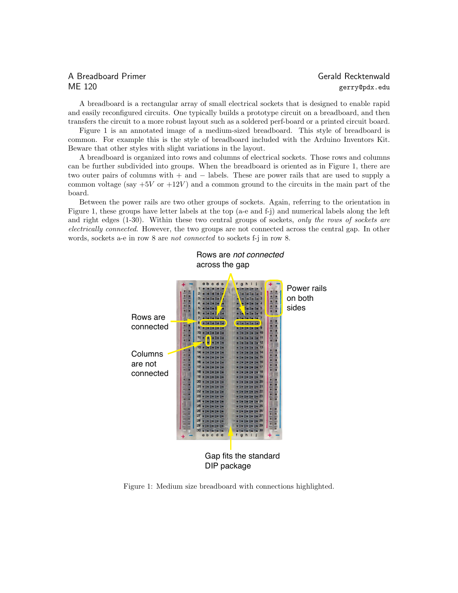## A Breadboard Primer Gerald Recktenwald ME 120 gerry@pdx.edu

A breadboard is a rectangular array of small electrical sockets that is designed to enable rapid and easily reconfigured circuits. One typically builds a prototype circuit on a breadboard, and then transfers the circuit to a more robust layout such as a soldered perf-board or a printed circuit board.

Figure 1 is an annotated image of a medium-sized breadboard. This style of breadboard is common. For example this is the style of breadboard included with the Arduino Inventors Kit. Beware that other styles with slight variations in the layout.

A breadboard is organized into rows and columns of electrical sockets. Those rows and columns can be further subdivided into groups. When the breadboard is oriented as in Figure 1, there are two outer pairs of columns with + and − labels. These are power rails that are used to supply a common voltage (say  $+5V$  or  $+12V$ ) and a common ground to the circuits in the main part of the board.

Between the power rails are two other groups of sockets. Again, referring to the orientation in Figure 1, these groups have letter labels at the top (a-e and f-j) and numerical labels along the left and right edges (1-30). Within these two central groups of sockets, only the rows of sockets are electrically connected. However, the two groups are not connected across the central gap. In other words, sockets a-e in row 8 are not connected to sockets f-j in row 8.



Figure 1: Medium size breadboard with connections highlighted.